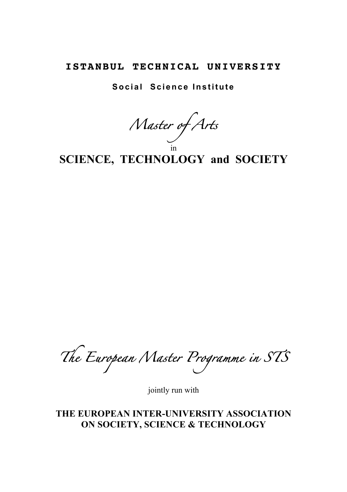# **ISTANBUL TECHNICAL UNIVERSITY**

**Social Science Institute**

*Master of Arts*  in

**SCIENCE, TECHNOLOGY and SOCIETY**

*The European Master Programme in STS*

jointly run with

**THE EUROPEAN INTER-UNIVERSITY ASSOCIATION ON SOCIETY, SCIENCE & TECHNOLOGY**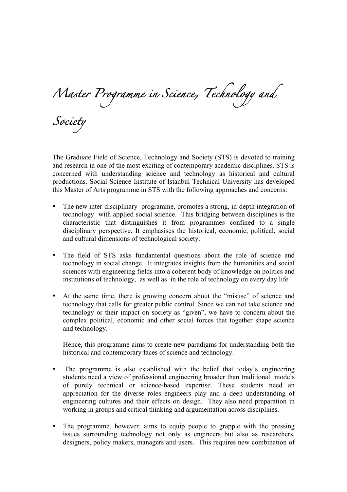*Master Programme in Science, Technology and* 

*Society* 

The Graduate Field of Science, Technology and Society (STS) is devoted to training and research in one of the most exciting of contemporary academic disciplines. STS is concerned with understanding science and technology as historical and cultural productions. Social Science Institute of Istanbul Technical University has developed this Master of Arts programme in STS with the following approaches and concerns:

- The new inter-disciplinary programme, promotes a strong, in-depth integration of technology with applied social science. This bridging between disciplines is the characteristic that distinguishes it from programmes confined to a single disciplinary perspective. It emphasises the historical, economic, political, social and cultural dimensions of technological society.
- The field of STS asks fundamental questions about the role of science and technology in social change. It integrates insights from the humanities and social sciences with engineering fields into a coherent body of knowledge on politics and institutions of technology, as well as in the role of technology on every day life.
- At the same time, there is growing concern about the "misuse" of science and technology that calls for greater public control. Since we can not take science and technology or their impact on society as "given", we have to concern about the complex political, economic and other social forces that together shape science and technology.

Hence, this programme aims to create new paradigms for understanding both the historical and contemporary faces of science and technology.

- The programme is also established with the belief that today's engineering students need a view of professional engineering broader than traditional models of purely technical or science-based expertise. These students need an appreciation for the diverse roles engineers play and a deep understanding of engineering cultures and their effects on design. They also need preparation in working in groups and critical thinking and argumentation across disciplines.
- The programme, however, aims to equip people to grapple with the pressing issues surrounding technology not only as engineers but also as researchers, designers, policy makers, managers and users. This requires new combination of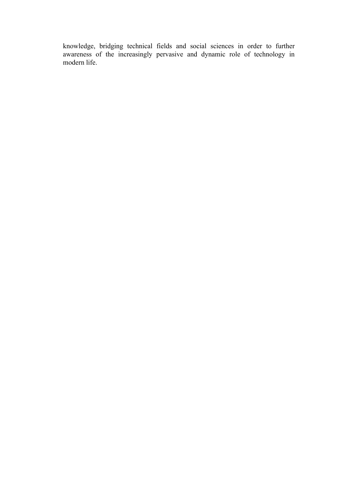knowledge, bridging technical fields and social sciences in order to further awareness of the increasingly pervasive and dynamic role of technology in modern life.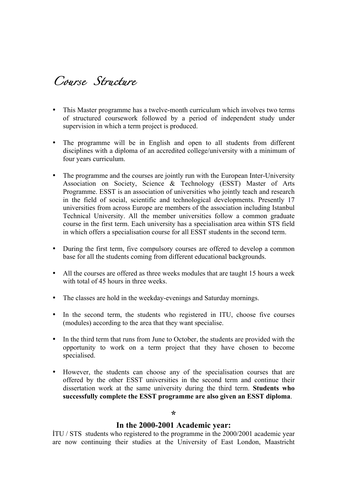*Course Structure* 

- This Master programme has a twelve-month curriculum which involves two terms of structured coursework followed by a period of independent study under supervision in which a term project is produced.
- The programme will be in English and open to all students from different disciplines with a diploma of an accredited college/university with a minimum of four years curriculum.
- The programme and the courses are jointly run with the European Inter-University Association on Society, Science & Technology (ESST) Master of Arts Programme. ESST is an association of universities who jointly teach and research in the field of social, scientific and technological developments. Presently 17 universities from across Europe are members of the association including Istanbul Technical University. All the member universities follow a common graduate course in the first term. Each university has a specialisation area within STS field in which offers a specialisation course for all ESST students in the second term.
- During the first term, five compulsory courses are offered to develop a common base for all the students coming from different educational backgrounds.
- All the courses are offered as three weeks modules that are taught 15 hours a week with total of 45 hours in three weeks.
- The classes are hold in the weekday-evenings and Saturday mornings.
- In the second term, the students who registered in ITU, choose five courses (modules) according to the area that they want specialise.
- In the third term that runs from June to October, the students are provided with the opportunity to work on a term project that they have chosen to become specialised.
- However, the students can choose any of the specialisation courses that are offered by the other ESST universities in the second term and continue their dissertation work at the same university during the third term. **Students who successfully complete the ESST programme are also given an ESST diploma**.

#### **\***

### **In the 2000-2001 Academic year:**

İTU / STS students who registered to the programme in the 2000/2001 academic year are now continuing their studies at the University of East London, Maastricht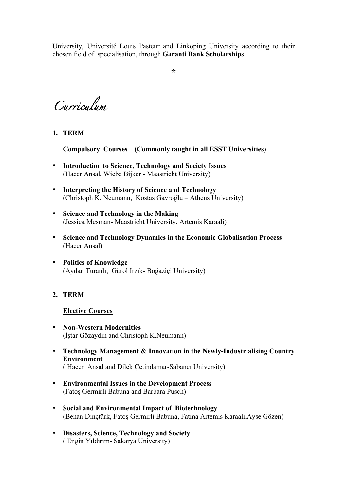University, Université Louis Pasteur and Linköping University according to their chosen field of specialisation, through **Garanti Bank Scholarships**.

**\***

*Curriculum* 

**1. TERM** 

**Compulsory Courses (Commonly taught in all ESST Universities)**

- **Introduction to Science, Technology and Society Issues**  (Hacer Ansal, Wiebe Bijker - Maastricht University)
- **Interpreting the History of Science and Technology** (Christoph K. Neumann, Kostas Gavroğlu – Athens University)
- **Science and Technology in the Making** (Jessica Mesman- Maastricht University, Artemis Karaali)
- **Science and Technology Dynamics in the Economic Globalisation Process** (Hacer Ansal)
- **Politics of Knowledge** (Aydan Turanlı, Gürol Irzık- Boğaziçi University)

## **2. TERM**

## **Elective Courses**

- **Non-Western Modernities** (İştar Gözaydın and Christoph K.Neumann)
- **Technology Management & Innovation in the Newly-Industrialising Country Environment** ( Hacer Ansal and Dilek Çetindamar-Sabancı University)
- **Environmental Issues in the Development Process** (Fatoş Germirli Babuna and Barbara Pusch)
- **Social and Environmental Impact of Biotechnology** (Benan Dinçtürk, Fatoş Germirli Babuna, Fatma Artemis Karaali,Ayşe Gözen)
- **Disasters, Science, Technology and Society**  ( Engin Yıldırım- Sakarya University)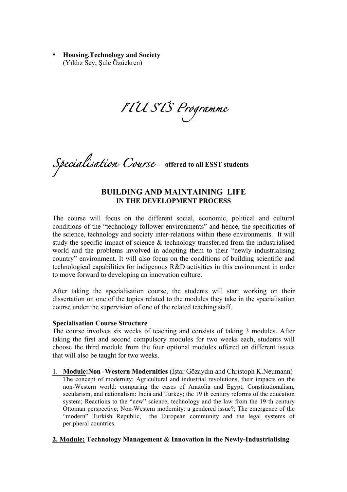• **Housing,Technology and Society**  (Yıldız Sey, Şule Özüekren)

*ITU STS Programme* 

*Specialisation Course* **- offered to all ESST students**

### **BUILDING AND MAINTAINING LIFE IN THE DEVELOPMENT PROCESS**

The course will focus on the different social, economic, political and cultural conditions of the "technology follower environments" and hence, the specificities of the science, technology and society inter-relations within these environments. It will study the specific impact of science & technology transferred from the industrialised world and the problems involved in adopting them to their "newly industrialising country" environment. It will also focus on the conditions of building scientific and technological capabilities for indigenous R&D activities in this environment in order to move forward to developing an innovation culture.

After taking the specialisation course, the students will start working on their dissertation on one of the topics related to the modules they take in the specialisation course under the supervision of one of the related teaching staff.

### **Specialisation Course Structure**

The course involves six weeks of teaching and consists of taking 3 modules. After taking the first and second compulsory modules for two weeks each, students will choose the third module from the four optional modules offered on different issues that will also be taught for two weeks.

1. **Module:Non -Western Modernities** (İştar Gözaydın and Christoph K.Neumann) The concept of modernity; Agricultural and industrial revolutions, their impacts on the non-Western world: comparing the cases of Anatolia and Egypt; Constitutionalism, secularism, and nationalism: India and Turkey; the 19 th century reforms of the education system; Reactions to the "new" science, technology and the law from the 19 th century Ottoman perspective; Non-Western modernity: a gendered issue?; The emergence of the "modern" Turkish Republic, the European community and the legal systems of peripheral countries.

### **2. Module: Technology Management & Innovation in the Newly-Industrialising**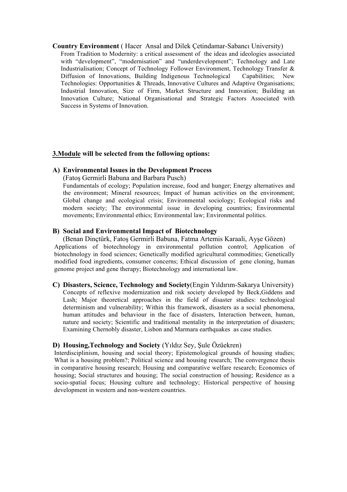#### **Country Environment** ( Hacer Ansal and Dilek Çetindamar-Sabancı University)

From Tradition to Modernity: a critical assessment of the ideas and ideologies associated with "development", "modernisation" and "underdevelopment"; Technology and Late Industrialisation; Concept of Technology Follower Environment, Technology Transfer & Diffusion of Innovations, Building Indigenous Technological Capabilities; New Technologies: Opportunities & Threads, Innovative Cultures and Adaptive Organisations; Industrial Innovation, Size of Firm, Market Structure and Innovation; Building an Innovation Culture; National Organisational and Strategic Factors Associated with Success in Systems of Innovation.

#### **3.Module will be selected from the following options:**

#### **A) Environmental Issues in the Development Process**

(Fatoş Germirli Babuna and Barbara Pusch)

Fundamentals of ecology; Population increase, food and hunger; Energy alternatives and the environment; Mineral resources; Impact of human activities on the environment; Global change and ecological crisis; Environmental sociology; Ecological risks and modern society; The environmental issue in developing countries; Environmental movements; Environmental ethics; Environmental law; Environmental politics.

#### **B) Social and Environmental Impact of Biotechnology**

(Benan Dinçtürk, Fatoş Germirli Babuna, Fatma Artemis Karaali, Ayşe Gözen) Applications of biotechnology in environmental pollution control; Application of biotechnology in food sciences; Genetically modified agricultural commodities; Genetically modified food ingredients, consumer concerns; Ethical discussion of gene cloning, human genome project and gene therapy; Biotechnology and international law.

#### **C) Disasters, Science, Technology and Society**(Engin Yıldırım-Sakarya University)

Concepts of reflexive modernization and risk society developed by Beck,Giddens and Lash; Major theoretical approaches in the field of disaster studies: technological determinism and vulnerability; Within this framework, disasters as a social phenomena, human attitudes and behaviour in the face of disasters, Interaction between, human, nature and society; Scientific and traditional mentality in the interpretation of disasters; Examining Chernobly disaster, Lisbon and Marmara earthquakes as case studies.

#### **D) Housing,Technology and Society** (Yıldız Sey, Şule Özüekren)

Interdisciplinism, housing and social theory; Epistemological grounds of housing studies; What is a housing problem?; Political science and housing research; The convergence thesis in comparative housing research; Housing and comparative welfare research; Economics of housing; Social structures and housing; The social construction of housing; Residence as a socio-spatial focus; Housing culture and technology; Historical perspective of housing development in western and non-western countries.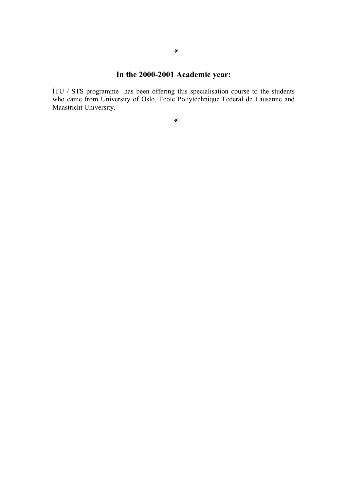# **In the 2000-2001 Academic year:**

İTU / STS programme has been offering this specialisation course to the students who came from University of Oslo, Ecole Poliytechnique Federal de Lausanne and Maastricht University.

*\**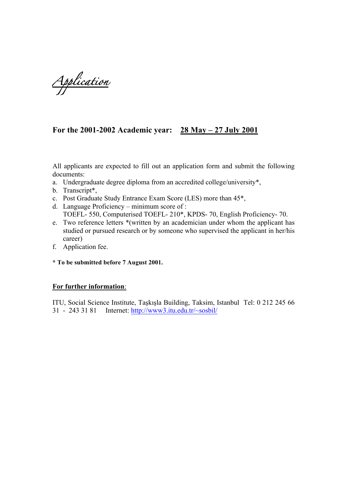*Application* 

# **For the 2001-2002 Academic year: 28 May – 27 July 2001**

All applicants are expected to fill out an application form and submit the following documents:

- a. Undergraduate degree diploma from an accredited college/university\*,
- b. Transcript\*,
- c. Post Graduate Study Entrance Exam Score (LES) more than 45\*,
- d. Language Proficiency minimum score of : TOEFL- 550, Computerised TOEFL- 210\*, KPDS- 70, English Proficiency- 70.
- e. Two reference letters \*(written by an academician under whom the applicant has studied or pursued research or by someone who supervised the applicant in her/his career)
- f. Application fee.
- **\* To be submitted before 7 August 2001.**

### **For further information**:

ITU, Social Science Institute, Taşkışla Building, Taksim, Istanbul Tel: 0 212 245 66 31 - 243 31 81 Internet: http://www3.itu.edu.tr/~sosbil/